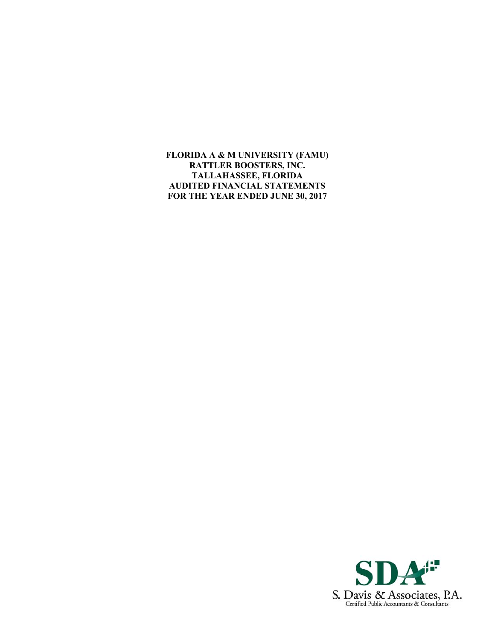**FLORIDA A & M UNIVERSITY (FAMU) RATTLER BOOSTERS, INC. TALLAHASSEE, FLORIDA AUDITED FINANCIAL STATEMENTS FOR THE YEAR ENDED JUNE 30, 2017** 

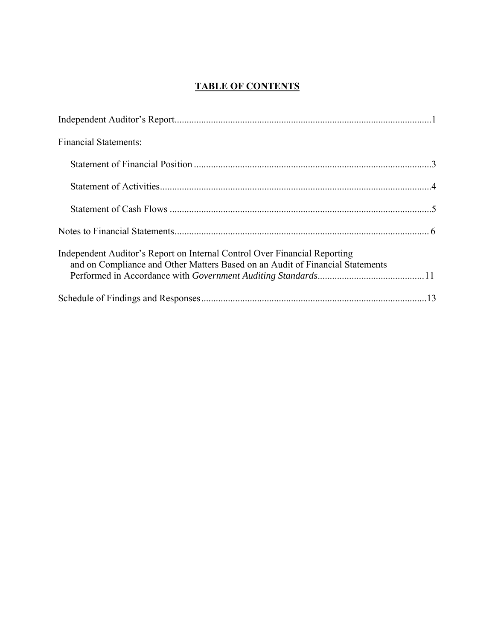# **TABLE OF CONTENTS**

| <b>Financial Statements:</b>                                                                                                                               |  |
|------------------------------------------------------------------------------------------------------------------------------------------------------------|--|
|                                                                                                                                                            |  |
|                                                                                                                                                            |  |
|                                                                                                                                                            |  |
|                                                                                                                                                            |  |
| Independent Auditor's Report on Internal Control Over Financial Reporting<br>and on Compliance and Other Matters Based on an Audit of Financial Statements |  |
|                                                                                                                                                            |  |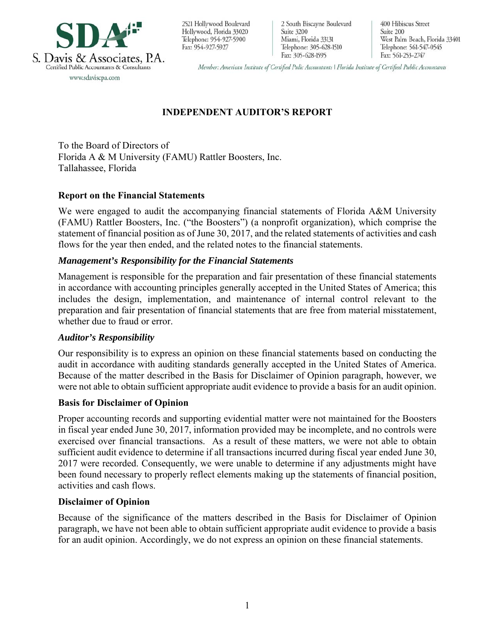

2521 Hollywood Boulevard Hollywood, Florida 33020 Telephone: 954-927-5900 Fax: 954-927-5927

2 South Biscayne Boulevard Suite 3200 Miami, Florida 33131 Telephone: 305-628-1510 Fax: 305-628-1595

400 Hibiscus Street Suite 200 West Palm Beach, Florida 33401 Telephone: 561-547-0545 Fax: 561-253-2747

Member: American Institute of Certified Pulic Accountants | Florida Institute of Certified Public Accountants

# **INDEPENDENT AUDITOR'S REPORT**

To the Board of Directors of Florida A & M University (FAMU) Rattler Boosters, Inc. Tallahassee, Florida

## **Report on the Financial Statements**

We were engaged to audit the accompanying financial statements of Florida A&M University (FAMU) Rattler Boosters, Inc. ("the Boosters") (a nonprofit organization), which comprise the statement of financial position as of June 30, 2017, and the related statements of activities and cash flows for the year then ended, and the related notes to the financial statements.

### *Management's Responsibility for the Financial Statements*

Management is responsible for the preparation and fair presentation of these financial statements in accordance with accounting principles generally accepted in the United States of America; this includes the design, implementation, and maintenance of internal control relevant to the preparation and fair presentation of financial statements that are free from material misstatement, whether due to fraud or error.

### *Auditor's Responsibility*

Our responsibility is to express an opinion on these financial statements based on conducting the audit in accordance with auditing standards generally accepted in the United States of America. Because of the matter described in the Basis for Disclaimer of Opinion paragraph, however, we were not able to obtain sufficient appropriate audit evidence to provide a basis for an audit opinion.

### **Basis for Disclaimer of Opinion**

Proper accounting records and supporting evidential matter were not maintained for the Boosters in fiscal year ended June 30, 2017, information provided may be incomplete, and no controls were exercised over financial transactions. As a result of these matters, we were not able to obtain sufficient audit evidence to determine if all transactions incurred during fiscal year ended June 30, 2017 were recorded. Consequently, we were unable to determine if any adjustments might have been found necessary to properly reflect elements making up the statements of financial position, activities and cash flows.

### **Disclaimer of Opinion**

Because of the significance of the matters described in the Basis for Disclaimer of Opinion paragraph, we have not been able to obtain sufficient appropriate audit evidence to provide a basis for an audit opinion. Accordingly, we do not express an opinion on these financial statements.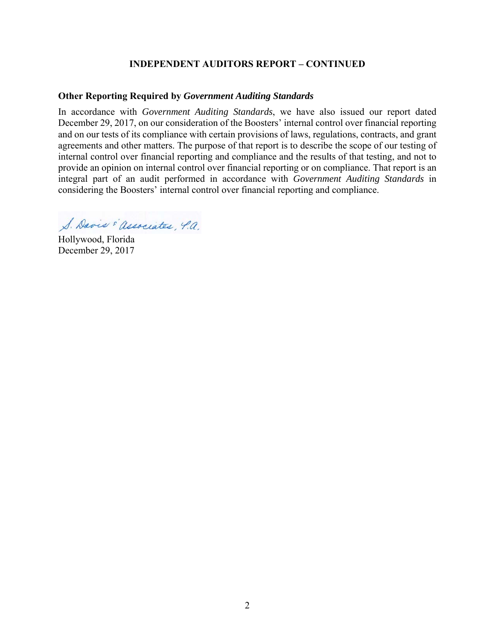### **INDEPENDENT AUDITORS REPORT – CONTINUED**

### **Other Reporting Required by** *Government Auditing Standards*

In accordance with *Government Auditing Standards*, we have also issued our report dated December 29, 2017, on our consideration of the Boosters' internal control over financial reporting and on our tests of its compliance with certain provisions of laws, regulations, contracts, and grant agreements and other matters. The purpose of that report is to describe the scope of our testing of internal control over financial reporting and compliance and the results of that testing, and not to provide an opinion on internal control over financial reporting or on compliance. That report is an integral part of an audit performed in accordance with *Government Auditing Standards* in considering the Boosters' internal control over financial reporting and compliance.

S. Davis "associates, 4.a.

Hollywood, Florida December 29, 2017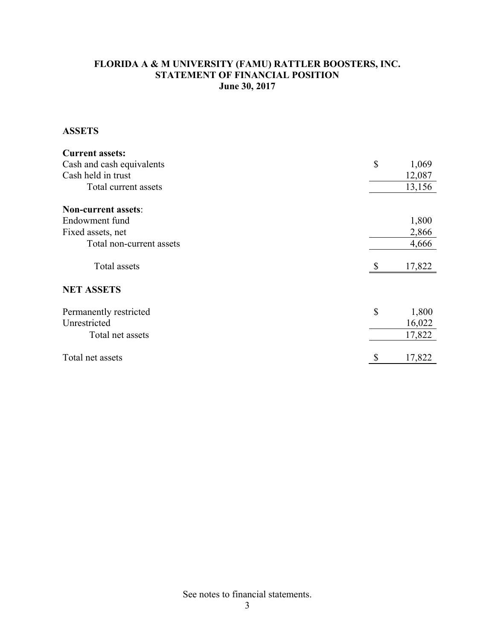## **FLORIDA A & M UNIVERSITY (FAMU) RATTLER BOOSTERS, INC. STATEMENT OF FINANCIAL POSITION June 30, 2017**

## **ASSETS**

| <b>Current assets:</b>     |     |        |
|----------------------------|-----|--------|
| Cash and cash equivalents  | \$  | 1,069  |
| Cash held in trust         |     | 12,087 |
| Total current assets       |     | 13,156 |
| <b>Non-current assets:</b> |     |        |
| Endowment fund             |     | 1,800  |
| Fixed assets, net          |     | 2,866  |
| Total non-current assets   |     | 4,666  |
| Total assets               | \$. | 17,822 |
| <b>NET ASSETS</b>          |     |        |
| Permanently restricted     | \$  | 1,800  |
| Unrestricted               |     | 16,022 |
| Total net assets           |     | 17,822 |
| Total net assets           |     | 17,822 |

See notes to financial statements.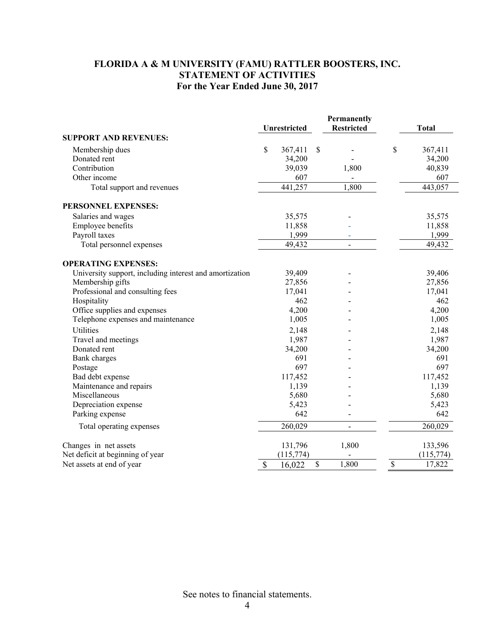# **FLORIDA A & M UNIVERSITY (FAMU) RATTLER BOOSTERS, INC. STATEMENT OF ACTIVITIES For the Year Ended June 30, 2017**

|                                                         |               | <b>Unrestricted</b> | Permanently<br><b>Restricted</b> | <b>Total</b>  |
|---------------------------------------------------------|---------------|---------------------|----------------------------------|---------------|
| <b>SUPPORT AND REVENUES:</b>                            |               |                     |                                  |               |
| Membership dues                                         | \$            | 367,411             | \$                               | \$<br>367,411 |
| Donated rent                                            |               | 34,200              |                                  | 34,200        |
| Contribution                                            |               | 39,039              | 1,800                            | 40,839        |
| Other income                                            |               | 607                 |                                  | 607           |
| Total support and revenues                              |               | 441,257             | 1,800                            | 443,057       |
| PERSONNEL EXPENSES:                                     |               |                     |                                  |               |
| Salaries and wages                                      |               | 35,575              |                                  | 35,575        |
| Employee benefits                                       |               | 11,858              |                                  | 11,858        |
| Payroll taxes                                           |               | 1,999               |                                  | 1,999         |
| Total personnel expenses                                |               | 49,432              | $\qquad \qquad \blacksquare$     | 49,432        |
| <b>OPERATING EXPENSES:</b>                              |               |                     |                                  |               |
| University support, including interest and amortization |               | 39,409              |                                  | 39,406        |
| Membership gifts                                        |               | 27,856              |                                  | 27,856        |
| Professional and consulting fees                        |               | 17,041              |                                  | 17,041        |
| Hospitality                                             |               | 462                 |                                  | 462           |
| Office supplies and expenses                            |               | 4,200               |                                  | 4,200         |
| Telephone expenses and maintenance                      |               | 1,005               |                                  | 1,005         |
| Utilities                                               |               | 2,148               |                                  | 2,148         |
| Travel and meetings                                     |               | 1,987               |                                  | 1,987         |
| Donated rent                                            |               | 34,200              |                                  | 34,200        |
| Bank charges                                            |               | 691                 |                                  | 691           |
| Postage                                                 |               | 697                 |                                  | 697           |
| Bad debt expense                                        |               | 117,452             |                                  | 117,452       |
| Maintenance and repairs                                 |               | 1,139               |                                  | 1,139         |
| Miscellaneous                                           |               | 5,680               |                                  | 5,680         |
| Depreciation expense                                    |               | 5,423               |                                  | 5,423         |
| Parking expense                                         |               | 642                 |                                  | 642           |
| Total operating expenses                                |               | 260,029             | $\blacksquare$                   | 260,029       |
| Changes in net assets                                   |               | 131,796             | 1,800                            | 133,596       |
| Net deficit at beginning of year                        |               | (115,774)           |                                  | (115,774)     |
| Net assets at end of year                               | $\mathcal{S}$ | 16,022              | \$<br>1,800                      | \$<br>17,822  |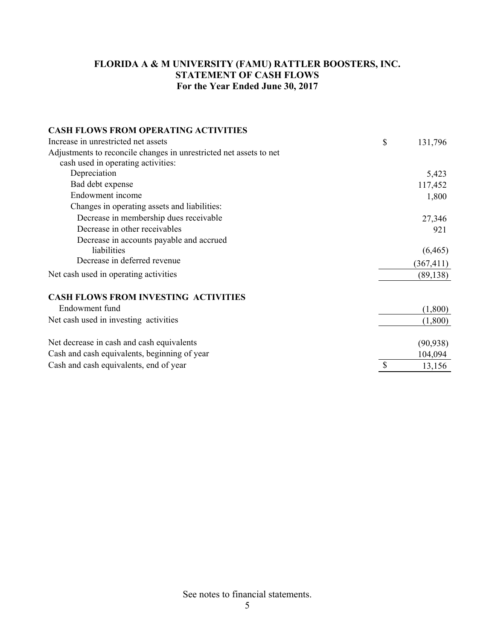# **FLORIDA A & M UNIVERSITY (FAMU) RATTLER BOOSTERS, INC. STATEMENT OF CASH FLOWS For the Year Ended June 30, 2017**

| <b>CASH FLOWS FROM OPERATING ACTIVITIES</b>                        |               |
|--------------------------------------------------------------------|---------------|
| Increase in unrestricted net assets                                | \$<br>131,796 |
| Adjustments to reconcile changes in unrestricted net assets to net |               |
| cash used in operating activities:                                 |               |
| Depreciation                                                       | 5,423         |
| Bad debt expense                                                   | 117,452       |
| Endowment income                                                   | 1,800         |
| Changes in operating assets and liabilities:                       |               |
| Decrease in membership dues receivable                             | 27,346        |
| Decrease in other receivables                                      | 921           |
| Decrease in accounts payable and accrued                           |               |
| liabilities                                                        | (6, 465)      |
| Decrease in deferred revenue                                       | (367, 411)    |
| Net cash used in operating activities                              | (89, 138)     |
| <b>CASH FLOWS FROM INVESTING ACTIVITIES</b>                        |               |
| Endowment fund                                                     | (1,800)       |
| Net cash used in investing activities                              | (1,800)       |
| Net decrease in cash and cash equivalents                          | (90, 938)     |
| Cash and cash equivalents, beginning of year                       | 104,094       |
| Cash and cash equivalents, end of year                             | \$<br>13,156  |

See notes to financial statements.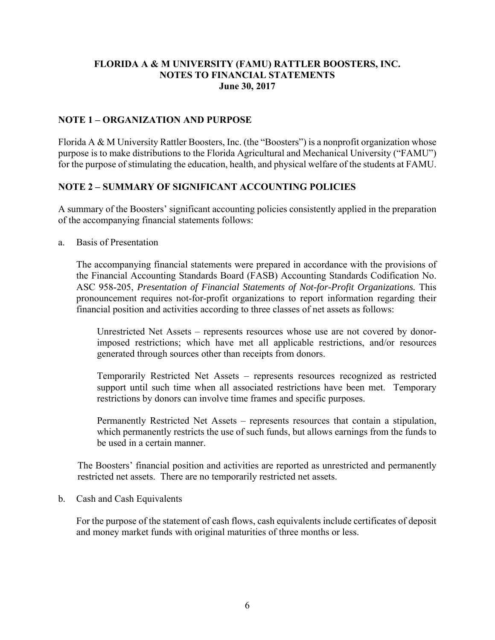### **NOTE 1 – ORGANIZATION AND PURPOSE**

Florida A & M University Rattler Boosters, Inc. (the "Boosters") is a nonprofit organization whose purpose is to make distributions to the Florida Agricultural and Mechanical University ("FAMU") for the purpose of stimulating the education, health, and physical welfare of the students at FAMU.

### **NOTE 2 – SUMMARY OF SIGNIFICANT ACCOUNTING POLICIES**

A summary of the Boosters' significant accounting policies consistently applied in the preparation of the accompanying financial statements follows:

a. Basis of Presentation

The accompanying financial statements were prepared in accordance with the provisions of the Financial Accounting Standards Board (FASB) Accounting Standards Codification No. ASC 958-205, *Presentation of Financial Statements of Not-for-Profit Organizations.* This pronouncement requires not-for-profit organizations to report information regarding their financial position and activities according to three classes of net assets as follows:

Unrestricted Net Assets – represents resources whose use are not covered by donorimposed restrictions; which have met all applicable restrictions, and/or resources generated through sources other than receipts from donors.

Temporarily Restricted Net Assets – represents resources recognized as restricted support until such time when all associated restrictions have been met. Temporary restrictions by donors can involve time frames and specific purposes.

Permanently Restricted Net Assets – represents resources that contain a stipulation, which permanently restricts the use of such funds, but allows earnings from the funds to be used in a certain manner.

 The Boosters' financial position and activities are reported as unrestricted and permanently restricted net assets. There are no temporarily restricted net assets.

#### b. Cash and Cash Equivalents

For the purpose of the statement of cash flows, cash equivalents include certificates of deposit and money market funds with original maturities of three months or less.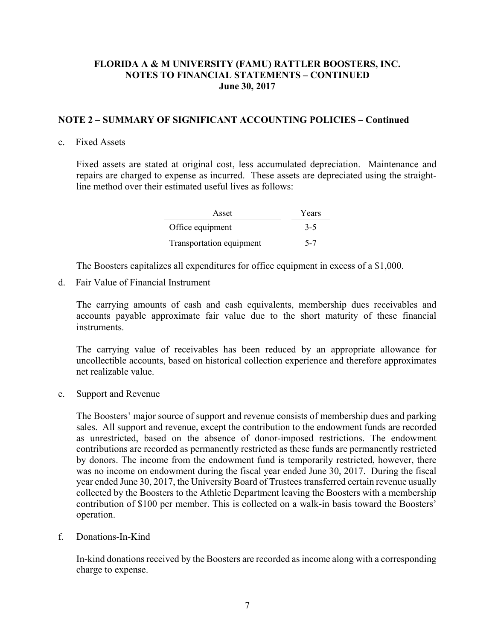### **NOTE 2 – SUMMARY OF SIGNIFICANT ACCOUNTING POLICIES – Continued**

#### c. Fixed Assets

Fixed assets are stated at original cost, less accumulated depreciation. Maintenance and repairs are charged to expense as incurred. These assets are depreciated using the straightline method over their estimated useful lives as follows:

| Asset                    | Years   |
|--------------------------|---------|
| Office equipment         | $3 - 5$ |
| Transportation equipment | $5 - 7$ |

The Boosters capitalizes all expenditures for office equipment in excess of a \$1,000.

d. Fair Value of Financial Instrument

The carrying amounts of cash and cash equivalents, membership dues receivables and accounts payable approximate fair value due to the short maturity of these financial **instruments** 

The carrying value of receivables has been reduced by an appropriate allowance for uncollectible accounts, based on historical collection experience and therefore approximates net realizable value.

e. Support and Revenue

The Boosters' major source of support and revenue consists of membership dues and parking sales. All support and revenue, except the contribution to the endowment funds are recorded as unrestricted, based on the absence of donor-imposed restrictions. The endowment contributions are recorded as permanently restricted as these funds are permanently restricted by donors. The income from the endowment fund is temporarily restricted, however, there was no income on endowment during the fiscal year ended June 30, 2017. During the fiscal year ended June 30, 2017, the University Board of Trustees transferred certain revenue usually collected by the Boosters to the Athletic Department leaving the Boosters with a membership contribution of \$100 per member. This is collected on a walk-in basis toward the Boosters' operation.

f. Donations-In-Kind

In-kind donations received by the Boosters are recorded as income along with a corresponding charge to expense.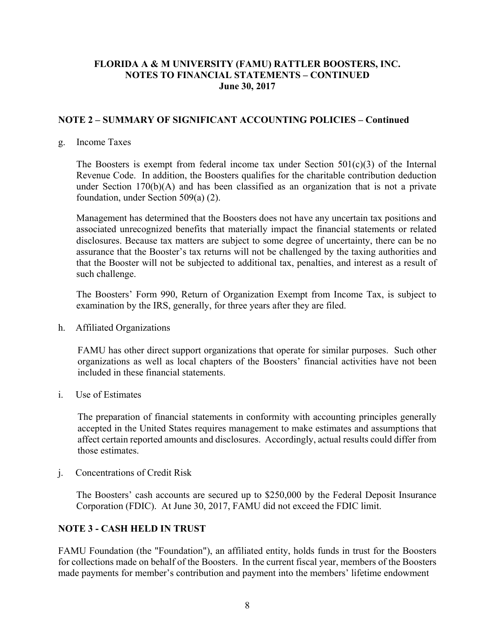### **NOTE 2 – SUMMARY OF SIGNIFICANT ACCOUNTING POLICIES – Continued**

#### g. Income Taxes

The Boosters is exempt from federal income tax under Section  $501(c)(3)$  of the Internal Revenue Code. In addition, the Boosters qualifies for the charitable contribution deduction under Section  $170(b)(A)$  and has been classified as an organization that is not a private foundation, under Section 509(a) (2).

Management has determined that the Boosters does not have any uncertain tax positions and associated unrecognized benefits that materially impact the financial statements or related disclosures. Because tax matters are subject to some degree of uncertainty, there can be no assurance that the Booster's tax returns will not be challenged by the taxing authorities and that the Booster will not be subjected to additional tax, penalties, and interest as a result of such challenge.

The Boosters' Form 990, Return of Organization Exempt from Income Tax, is subject to examination by the IRS, generally, for three years after they are filed.

h. Affiliated Organizations

FAMU has other direct support organizations that operate for similar purposes. Such other organizations as well as local chapters of the Boosters' financial activities have not been included in these financial statements.

i. Use of Estimates

The preparation of financial statements in conformity with accounting principles generally accepted in the United States requires management to make estimates and assumptions that affect certain reported amounts and disclosures. Accordingly, actual results could differ from those estimates.

j. Concentrations of Credit Risk

The Boosters' cash accounts are secured up to \$250,000 by the Federal Deposit Insurance Corporation (FDIC). At June 30, 2017, FAMU did not exceed the FDIC limit.

## **NOTE 3 - CASH HELD IN TRUST**

FAMU Foundation (the "Foundation"), an affiliated entity, holds funds in trust for the Boosters for collections made on behalf of the Boosters. In the current fiscal year, members of the Boosters made payments for member's contribution and payment into the members' lifetime endowment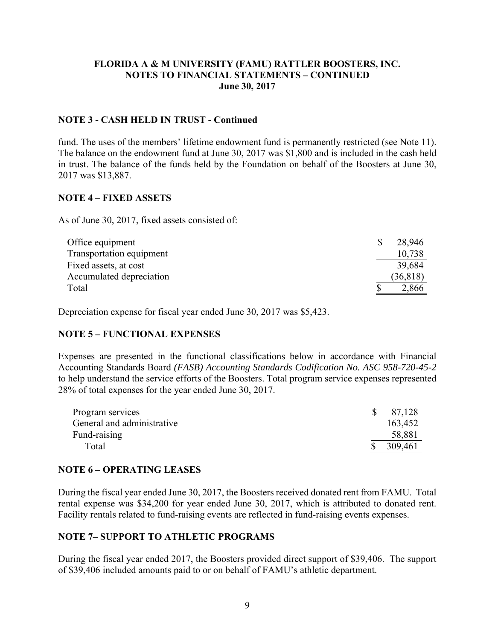### **NOTE 3 - CASH HELD IN TRUST - Continued**

fund. The uses of the members' lifetime endowment fund is permanently restricted (see Note 11). The balance on the endowment fund at June 30, 2017 was \$1,800 and is included in the cash held in trust. The balance of the funds held by the Foundation on behalf of the Boosters at June 30, 2017 was \$13,887.

### **NOTE 4 – FIXED ASSETS**

As of June 30, 2017, fixed assets consisted of:

| Office equipment         | 28.946    |
|--------------------------|-----------|
| Transportation equipment | 10,738    |
| Fixed assets, at cost    | 39,684    |
| Accumulated depreciation | (36, 818) |
| Total                    | 2,866     |

Depreciation expense for fiscal year ended June 30, 2017 was \$5,423.

### **NOTE 5 – FUNCTIONAL EXPENSES**

Expenses are presented in the functional classifications below in accordance with Financial Accounting Standards Board *(FASB) Accounting Standards Codification No. ASC 958-720-45-2*  to help understand the service efforts of the Boosters. Total program service expenses represented 28% of total expenses for the year ended June 30, 2017.

| Program services           | 87,128  |
|----------------------------|---------|
| General and administrative | 163,452 |
| Fund-raising               | 58,881  |
| Total                      | 309,461 |

### **NOTE 6 – OPERATING LEASES**

During the fiscal year ended June 30, 2017, the Boosters received donated rent from FAMU. Total rental expense was \$34,200 for year ended June 30, 2017, which is attributed to donated rent. Facility rentals related to fund-raising events are reflected in fund-raising events expenses.

## **NOTE 7– SUPPORT TO ATHLETIC PROGRAMS**

During the fiscal year ended 2017, the Boosters provided direct support of \$39,406. The support of \$39,406 included amounts paid to or on behalf of FAMU's athletic department.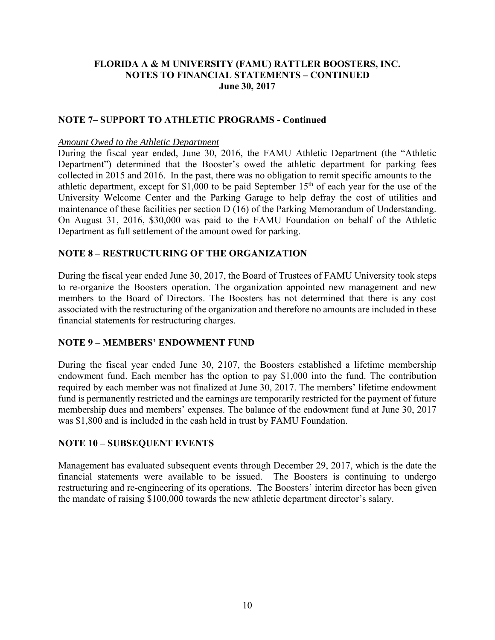## **NOTE 7– SUPPORT TO ATHLETIC PROGRAMS - Continued**

#### *Amount Owed to the Athletic Department*

During the fiscal year ended, June 30, 2016, the FAMU Athletic Department (the "Athletic Department") determined that the Booster's owed the athletic department for parking fees collected in 2015 and 2016. In the past, there was no obligation to remit specific amounts to the athletic department, except for \$1,000 to be paid September  $15<sup>th</sup>$  of each year for the use of the University Welcome Center and the Parking Garage to help defray the cost of utilities and maintenance of these facilities per section D (16) of the Parking Memorandum of Understanding. On August 31, 2016, \$30,000 was paid to the FAMU Foundation on behalf of the Athletic Department as full settlement of the amount owed for parking.

### **NOTE 8 – RESTRUCTURING OF THE ORGANIZATION**

During the fiscal year ended June 30, 2017, the Board of Trustees of FAMU University took steps to re-organize the Boosters operation. The organization appointed new management and new members to the Board of Directors. The Boosters has not determined that there is any cost associated with the restructuring of the organization and therefore no amounts are included in these financial statements for restructuring charges.

### **NOTE 9 – MEMBERS' ENDOWMENT FUND**

During the fiscal year ended June 30, 2107, the Boosters established a lifetime membership endowment fund. Each member has the option to pay \$1,000 into the fund. The contribution required by each member was not finalized at June 30, 2017. The members' lifetime endowment fund is permanently restricted and the earnings are temporarily restricted for the payment of future membership dues and members' expenses. The balance of the endowment fund at June 30, 2017 was \$1,800 and is included in the cash held in trust by FAMU Foundation.

### **NOTE 10 – SUBSEQUENT EVENTS**

Management has evaluated subsequent events through December 29, 2017, which is the date the financial statements were available to be issued. The Boosters is continuing to undergo restructuring and re-engineering of its operations. The Boosters' interim director has been given the mandate of raising \$100,000 towards the new athletic department director's salary.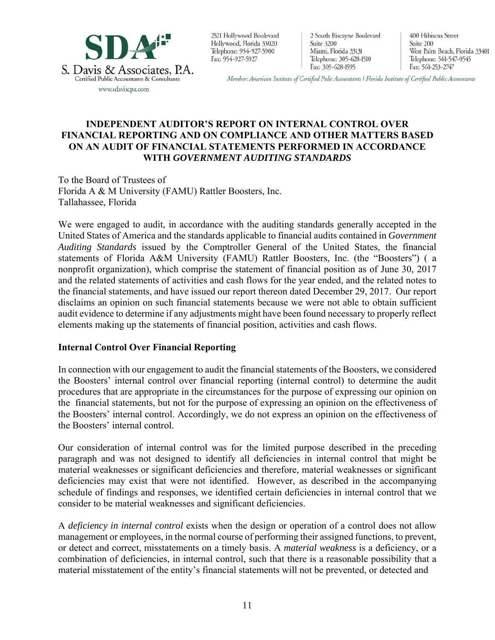

2521 Hollywood Boulevard Hollywood, Florida 33020 Telephone: 954-927-5900 Fax: 954-927-5927

2 South Biscayne Boulevard Suite 3200 Miami, Florida 33131 Telephone: 305-628-1510 Fax: 305-628-1595

400 Hibiscus Street Suite 200 West Palm Beach, Florida 33401 Telephone: 561-547-0545 Fax: 561-253-2747

Member: American Institute of Certified Pulic Accountants | Florida Institute of Certified Public Accountants

## **INDEPENDENT AUDITOR'S REPORT ON INTERNAL CONTROL OVER FINANCIAL REPORTING AND ON COMPLIANCE AND OTHER MATTERS BASED ON AN AUDIT OF FINANCIAL STATEMENTS PERFORMED IN ACCORDANCE WITH** *GOVERNMENT AUDITING STANDARDS*

To the Board of Trustees of Florida A & M University (FAMU) Rattler Boosters, Inc. Tallahassee, Florida

We were engaged to audit, in accordance with the auditing standards generally accepted in the United States of America and the standards applicable to financial audits contained in *Government Auditing Standards* issued by the Comptroller General of the United States, the financial statements of Florida A&M University (FAMU) Rattler Boosters, Inc. (the "Boosters") ( a nonprofit organization), which comprise the statement of financial position as of June 30, 2017 and the related statements of activities and cash flows for the year ended, and the related notes to the financial statements, and have issued our report thereon dated December 29, 2017. Our report disclaims an opinion on such financial statements because we were not able to obtain sufficient audit evidence to determine if any adjustments might have been found necessary to properly reflect elements making up the statements of financial position, activities and cash flows.

### **Internal Control Over Financial Reporting**

In connection with our engagement to audit the financial statements of the Boosters, we considered the Boosters' internal control over financial reporting (internal control) to determine the audit procedures that are appropriate in the circumstances for the purpose of expressing our opinion on the financial statements, but not for the purpose of expressing an opinion on the effectiveness of the Boosters' internal control. Accordingly, we do not express an opinion on the effectiveness of the Boosters' internal control.

Our consideration of internal control was for the limited purpose described in the preceding paragraph and was not designed to identify all deficiencies in internal control that might be material weaknesses or significant deficiencies and therefore, material weaknesses or significant deficiencies may exist that were not identified. However, as described in the accompanying schedule of findings and responses, we identified certain deficiencies in internal control that we consider to be material weaknesses and significant deficiencies.

A *deficiency in internal control* exists when the design or operation of a control does not allow management or employees, in the normal course of performing their assigned functions, to prevent, or detect and correct, misstatements on a timely basis. A *material weakness* is a deficiency, or a combination of deficiencies, in internal control, such that there is a reasonable possibility that a material misstatement of the entity's financial statements will not be prevented, or detected and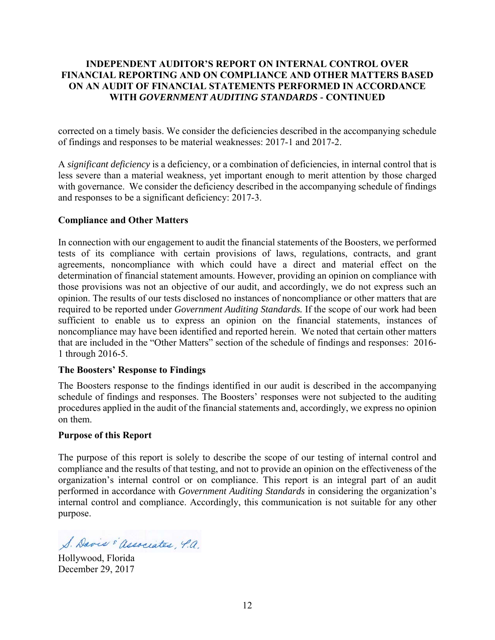### **INDEPENDENT AUDITOR'S REPORT ON INTERNAL CONTROL OVER FINANCIAL REPORTING AND ON COMPLIANCE AND OTHER MATTERS BASED ON AN AUDIT OF FINANCIAL STATEMENTS PERFORMED IN ACCORDANCE WITH** *GOVERNMENT AUDITING STANDARDS -* **CONTINUED**

corrected on a timely basis. We consider the deficiencies described in the accompanying schedule of findings and responses to be material weaknesses: 2017-1 and 2017-2.

A *significant deficiency* is a deficiency, or a combination of deficiencies, in internal control that is less severe than a material weakness, yet important enough to merit attention by those charged with governance. We consider the deficiency described in the accompanying schedule of findings and responses to be a significant deficiency: 2017-3.

### **Compliance and Other Matters**

In connection with our engagement to audit the financial statements of the Boosters, we performed tests of its compliance with certain provisions of laws, regulations, contracts, and grant agreements, noncompliance with which could have a direct and material effect on the determination of financial statement amounts. However, providing an opinion on compliance with those provisions was not an objective of our audit, and accordingly, we do not express such an opinion. The results of our tests disclosed no instances of noncompliance or other matters that are required to be reported under *Government Auditing Standards.* If the scope of our work had been sufficient to enable us to express an opinion on the financial statements, instances of noncompliance may have been identified and reported herein. We noted that certain other matters that are included in the "Other Matters" section of the schedule of findings and responses: 2016- 1 through 2016-5.

### **The Boosters' Response to Findings**

The Boosters response to the findings identified in our audit is described in the accompanying schedule of findings and responses. The Boosters' responses were not subjected to the auditing procedures applied in the audit of the financial statements and, accordingly, we express no opinion on them.

### **Purpose of this Report**

The purpose of this report is solely to describe the scope of our testing of internal control and compliance and the results of that testing, and not to provide an opinion on the effectiveness of the organization's internal control or on compliance. This report is an integral part of an audit performed in accordance with *Government Auditing Standards* in considering the organization's internal control and compliance. Accordingly, this communication is not suitable for any other purpose.

S. Davis "associates, 4.a.

Hollywood, Florida December 29, 2017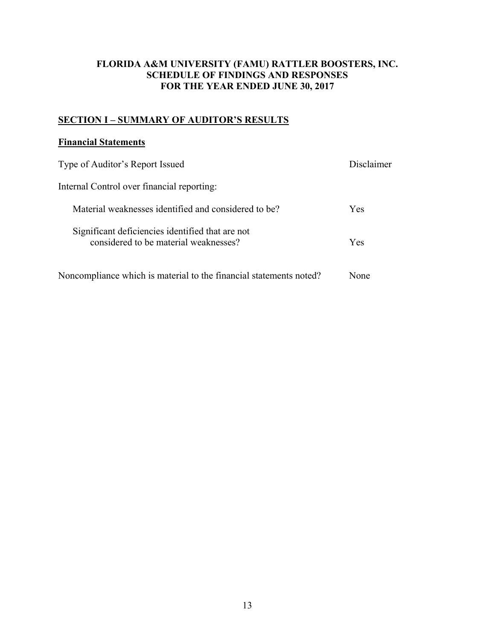# **SECTION I – SUMMARY OF AUDITOR'S RESULTS**

### **Financial Statements**

| Type of Auditor's Report Issued                                                           | Disclaimer |
|-------------------------------------------------------------------------------------------|------------|
| Internal Control over financial reporting:                                                |            |
| Material weaknesses identified and considered to be?                                      | Yes        |
| Significant deficiencies identified that are not<br>considered to be material weaknesses? | Yes        |
| Noncompliance which is material to the financial statements noted?                        | None       |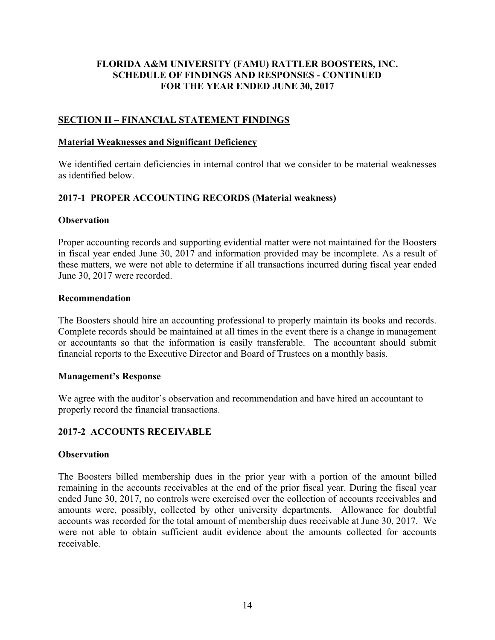### **SECTION II – FINANCIAL STATEMENT FINDINGS**

#### **Material Weaknesses and Significant Deficiency**

We identified certain deficiencies in internal control that we consider to be material weaknesses as identified below.

### **2017-1 PROPER ACCOUNTING RECORDS (Material weakness)**

#### **Observation**

Proper accounting records and supporting evidential matter were not maintained for the Boosters in fiscal year ended June 30, 2017 and information provided may be incomplete. As a result of these matters, we were not able to determine if all transactions incurred during fiscal year ended June 30, 2017 were recorded.

#### **Recommendation**

The Boosters should hire an accounting professional to properly maintain its books and records. Complete records should be maintained at all times in the event there is a change in management or accountants so that the information is easily transferable. The accountant should submit financial reports to the Executive Director and Board of Trustees on a monthly basis.

### **Management's Response**

We agree with the auditor's observation and recommendation and have hired an accountant to properly record the financial transactions.

### **2017-2 ACCOUNTS RECEIVABLE**

### **Observation**

The Boosters billed membership dues in the prior year with a portion of the amount billed remaining in the accounts receivables at the end of the prior fiscal year. During the fiscal year ended June 30, 2017, no controls were exercised over the collection of accounts receivables and amounts were, possibly, collected by other university departments. Allowance for doubtful accounts was recorded for the total amount of membership dues receivable at June 30, 2017. We were not able to obtain sufficient audit evidence about the amounts collected for accounts receivable.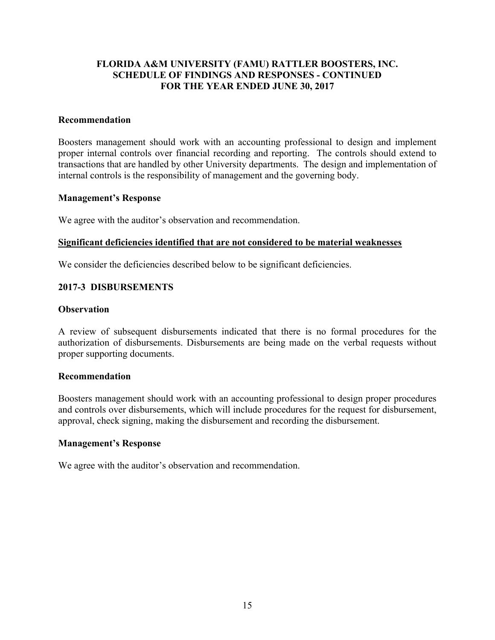### **Recommendation**

Boosters management should work with an accounting professional to design and implement proper internal controls over financial recording and reporting. The controls should extend to transactions that are handled by other University departments. The design and implementation of internal controls is the responsibility of management and the governing body.

#### **Management's Response**

We agree with the auditor's observation and recommendation.

#### **Significant deficiencies identified that are not considered to be material weaknesses**

We consider the deficiencies described below to be significant deficiencies.

### **2017-3 DISBURSEMENTS**

#### **Observation**

A review of subsequent disbursements indicated that there is no formal procedures for the authorization of disbursements. Disbursements are being made on the verbal requests without proper supporting documents.

#### **Recommendation**

Boosters management should work with an accounting professional to design proper procedures and controls over disbursements, which will include procedures for the request for disbursement, approval, check signing, making the disbursement and recording the disbursement.

#### **Management's Response**

We agree with the auditor's observation and recommendation.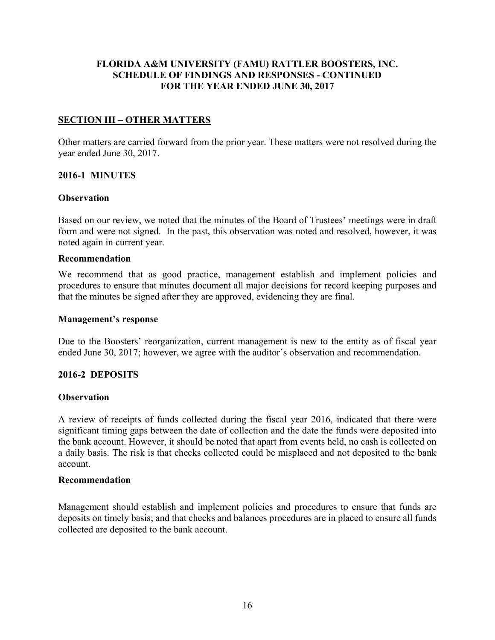## **SECTION III – OTHER MATTERS**

Other matters are carried forward from the prior year. These matters were not resolved during the year ended June 30, 2017.

### **2016-1 MINUTES**

### **Observation**

Based on our review, we noted that the minutes of the Board of Trustees' meetings were in draft form and were not signed. In the past, this observation was noted and resolved, however, it was noted again in current year.

#### **Recommendation**

We recommend that as good practice, management establish and implement policies and procedures to ensure that minutes document all major decisions for record keeping purposes and that the minutes be signed after they are approved, evidencing they are final.

#### **Management's response**

Due to the Boosters' reorganization, current management is new to the entity as of fiscal year ended June 30, 2017; however, we agree with the auditor's observation and recommendation.

### **2016-2 DEPOSITS**

### **Observation**

A review of receipts of funds collected during the fiscal year 2016, indicated that there were significant timing gaps between the date of collection and the date the funds were deposited into the bank account. However, it should be noted that apart from events held, no cash is collected on a daily basis. The risk is that checks collected could be misplaced and not deposited to the bank account.

### **Recommendation**

Management should establish and implement policies and procedures to ensure that funds are deposits on timely basis; and that checks and balances procedures are in placed to ensure all funds collected are deposited to the bank account.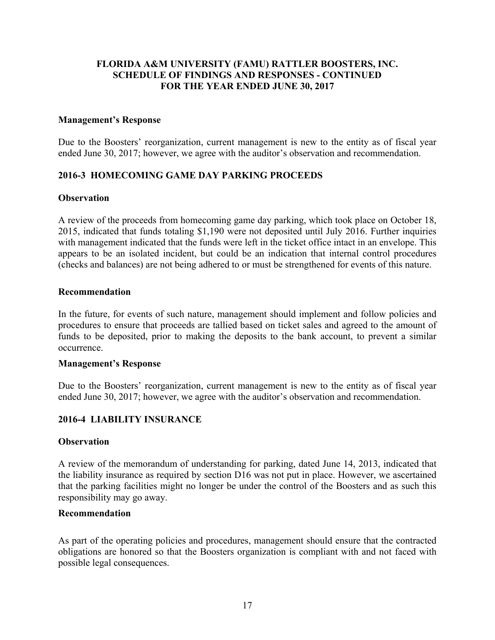#### **Management's Response**

Due to the Boosters' reorganization, current management is new to the entity as of fiscal year ended June 30, 2017; however, we agree with the auditor's observation and recommendation.

## **2016-3 HOMECOMING GAME DAY PARKING PROCEEDS**

#### **Observation**

A review of the proceeds from homecoming game day parking, which took place on October 18, 2015, indicated that funds totaling \$1,190 were not deposited until July 2016. Further inquiries with management indicated that the funds were left in the ticket office intact in an envelope. This appears to be an isolated incident, but could be an indication that internal control procedures (checks and balances) are not being adhered to or must be strengthened for events of this nature.

#### **Recommendation**

In the future, for events of such nature, management should implement and follow policies and procedures to ensure that proceeds are tallied based on ticket sales and agreed to the amount of funds to be deposited, prior to making the deposits to the bank account, to prevent a similar occurrence.

#### **Management's Response**

Due to the Boosters' reorganization, current management is new to the entity as of fiscal year ended June 30, 2017; however, we agree with the auditor's observation and recommendation.

### **2016-4 LIABILITY INSURANCE**

#### **Observation**

A review of the memorandum of understanding for parking, dated June 14, 2013, indicated that the liability insurance as required by section D16 was not put in place. However, we ascertained that the parking facilities might no longer be under the control of the Boosters and as such this responsibility may go away.

#### **Recommendation**

As part of the operating policies and procedures, management should ensure that the contracted obligations are honored so that the Boosters organization is compliant with and not faced with possible legal consequences.